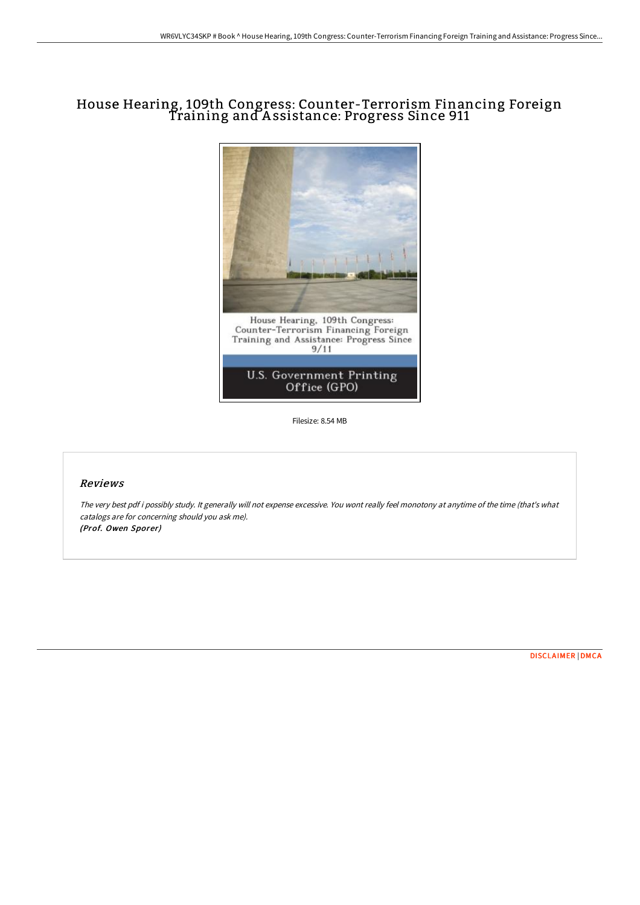# House Hearing, 109th Congress: Counter-Terrorism Financing Foreign Training and A ssistance: Progress Since 911



Filesize: 8.54 MB

## Reviews

The very best pdf i possibly study. It generally will not expense excessive. You wont really feel monotony at anytime of the time (that's what catalogs are for concerning should you ask me). (Prof. Owen Sporer)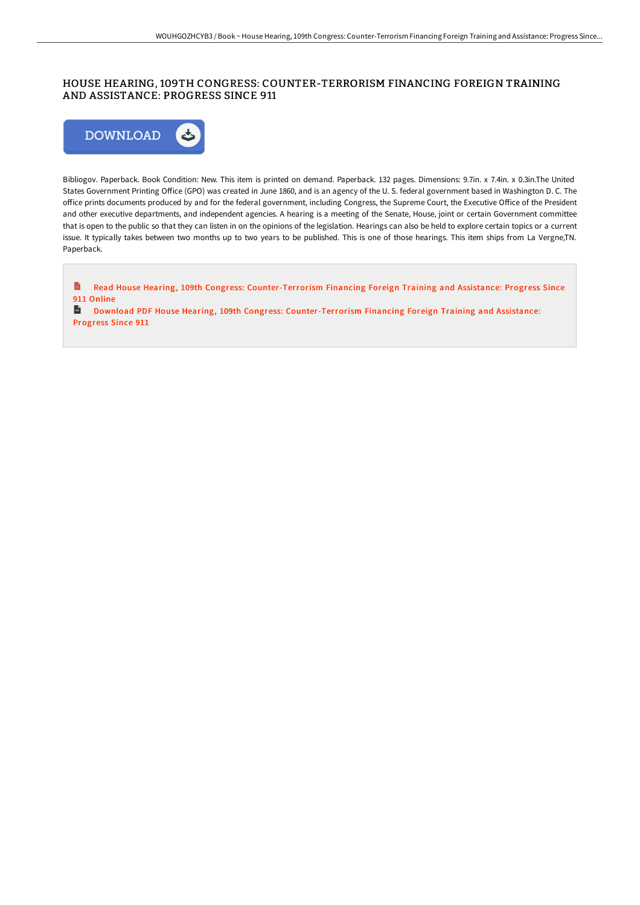# HOUSE HEARING, 109TH CONGRESS: COUNTER-TERRORISM FINANCING FOREIGN TRAINING AND ASSISTANCE: PROGRESS SINCE 911



Bibliogov. Paperback. Book Condition: New. This item is printed on demand. Paperback. 132 pages. Dimensions: 9.7in. x 7.4in. x 0.3in.The United States Government Printing Office (GPO) was created in June 1860, and is an agency of the U.S. federal government based in Washington D.C. The office prints documents produced by and for the federal government, including Congress, the Supreme Court, the Executive Office of the President and other executive departments, and independent agencies. A hearing is a meeting of the Senate, House, joint or certain Government committee that is open to the public so that they can listen in on the opinions of the legislation. Hearings can also be held to explore certain topics or a current issue. It typically takes between two months up to two years to be published. This is one of those hearings. This item ships from La Vergne,TN. Paperback.

E Read House Hearing, 109th Congress: [Counter-Terrorism](http://techno-pub.tech/house-hearing-109th-congress-counter-terrorism-f.html) Financing Foreign Training and Assistance: Progress Since 911 Online

Download PDF House Hearing, 109th Congress: [Counter-Terrorism](http://techno-pub.tech/house-hearing-109th-congress-counter-terrorism-f.html) Financing Foreign Training and Assistance: Progress Since 911